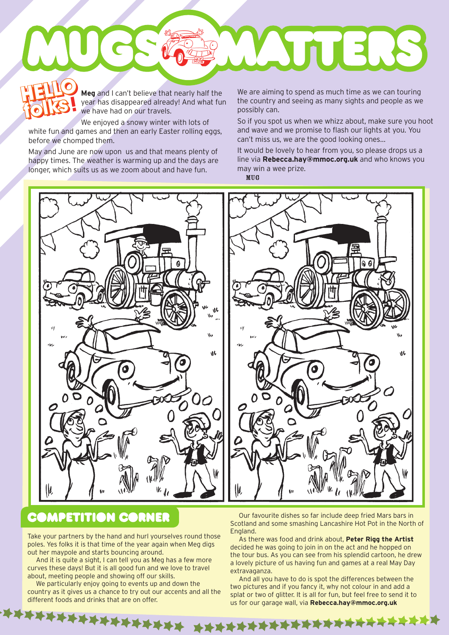**Meg** and I can't believe that nearly half the year has disappeared already! And what fun we have had on our travels. **HELLO** M **folks! HELLO folks**

We enjoyed a snowy winter with lots of white fun and games and then an early Easter rolling eggs, before we chomped them.

May and June are now upon us and that means plenty of happy times. The weather is warming up and the days are longer, which suits us as we zoom about and have fun.

We are aiming to spend as much time as we can touring the country and seeing as many sights and people as we possibly can.

**Andel &** 

So if you spot us when we whizz about, make sure you hoot and wave and we promise to flash our lights at you. You can't miss us, we are the good looking ones…

It would be lovely to hear from you, so please drops us a line via **Rebecca.hay@mmoc.org.uk** and who knows you may win a wee prize.

MUG





XXXXXXXXX

Take your partners by the hand and hurl yourselves round those poles. Yes folks it is that time of the year again when Meg digs out her maypole and starts bouncing around.

And it is quite a sight, I can tell you as Meg has a few more curves these days! But it is all good fun and we love to travel about, meeting people and showing off our skills.

We particularly enjoy going to events up and down the country as it gives us a chance to try out our accents and all the different foods and drinks that are on offer.



Our favourite dishes so far include deep fried Mars bars in Scotland and some smashing Lancashire Hot Pot in the North of England.

As there was food and drink about, **Peter Rigg the Artist** decided he was going to join in on the act and he hopped on the tour bus. As you can see from his splendid cartoon, he drew a lovely picture of us having fun and games at a real May Day extravaganza.

And all you have to do is spot the differences between the two pictures and if you fancy it, why not colour in and add a splat or two of glitter. It is all for fun, but feel free to send it to us for our garage wall, via **Rebecca.hay@mmoc.org.uk**

XXXXXXXXXXXXXX